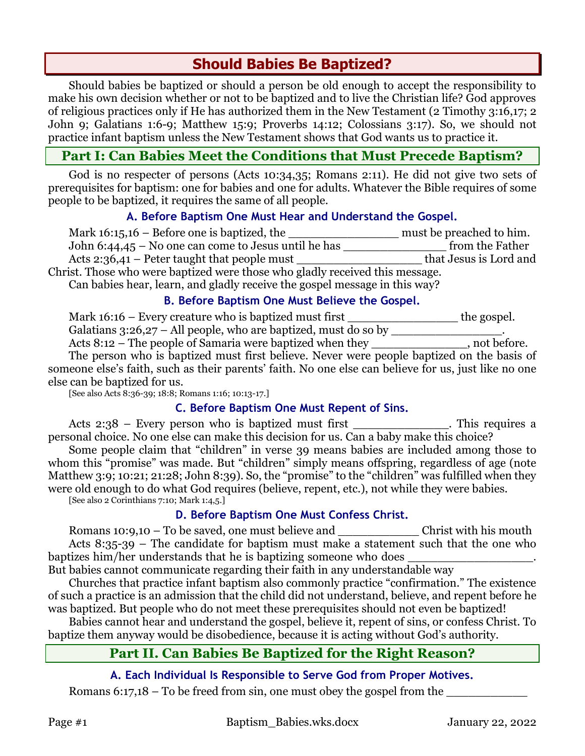# **Should Babies Be Baptized?**

Should babies be baptized or should a person be old enough to accept the responsibility to make his own decision whether or not to be baptized and to live the Christian life? God approves of religious practices only if He has authorized them in the New Testament (2 Timothy 3:16,17; 2 John 9; Galatians 1:6-9; Matthew 15:9; Proverbs 14:12; Colossians 3:17). So, we should not practice infant baptism unless the New Testament shows that God wants us to practice it.

# **Part I: Can Babies Meet the Conditions that Must Precede Baptism?**

God is no respecter of persons (Acts 10:34,35; Romans 2:11). He did not give two sets of prerequisites for baptism: one for babies and one for adults. Whatever the Bible requires of some people to be baptized, it requires the same of all people.

## **A. Before Baptism One Must Hear and Understand the Gospel.**

| Mark $16:15,16$ – Before one is baptized, the                                | must be preached to him. |
|------------------------------------------------------------------------------|--------------------------|
| John $6:44,45$ – No one can come to Jesus until he has                       | from the Father          |
| Acts 2:36,41 – Peter taught that people must                                 | that Jesus is Lord and   |
| Christ. Those who were baptized were those who gladly received this message. |                          |
| Can babies hear, learn, and gladly receive the gospel message in this way?   |                          |

#### **B. Before Baptism One Must Believe the Gospel.**

Mark 16:16 – Every creature who is baptized must first \_\_\_\_\_\_\_\_\_\_\_\_\_\_\_\_\_\_\_\_\_the gospel. Galatians  $3:26,27$  – All people, who are baptized, must do so by Acts 8:12 – The people of Samaria were baptized when they , not before.

The person who is baptized must first believe. Never were people baptized on the basis of someone else's faith, such as their parents' faith. No one else can believe for us, just like no one else can be baptized for us.

[See also Acts 8:36-39; 18:8; Romans 1:16; 10:13-17.]

## **C. Before Baptism One Must Repent of Sins.**

Acts 2:38 – Every person who is baptized must first \_\_\_\_\_\_\_\_\_\_\_\_\_\_. This requires a personal choice. No one else can make this decision for us. Can a baby make this choice?

Some people claim that "children" in verse 39 means babies are included among those to whom this "promise" was made. But "children" simply means offspring, regardless of age (note Matthew 3:9; 10:21; 21:28; John 8:39). So, the "promise" to the "children" was fulfilled when they were old enough to do what God requires (believe, repent, etc.), not while they were babies. [See also 2 Corinthians 7:10; Mark 1:4,5.]

## **D. Before Baptism One Must Confess Christ.**

Romans 10:9,10 – To be saved, one must believe and **Example 20** Christ with his mouth Acts 8:35-39 – The candidate for baptism must make a statement such that the one who baptizes him/her understands that he is baptizing someone who does

But babies cannot communicate regarding their faith in any understandable way

Churches that practice infant baptism also commonly practice "confirmation." The existence of such a practice is an admission that the child did not understand, believe, and repent before he was baptized. But people who do not meet these prerequisites should not even be baptized!

Babies cannot hear and understand the gospel, believe it, repent of sins, or confess Christ. To baptize them anyway would be disobedience, because it is acting without God's authority.

# **Part II. Can Babies Be Baptized for the Right Reason?**

## **A. Each Individual Is Responsible to Serve God from Proper Motives.**

Romans 6:17,18 – To be freed from sin, one must obey the gospel from the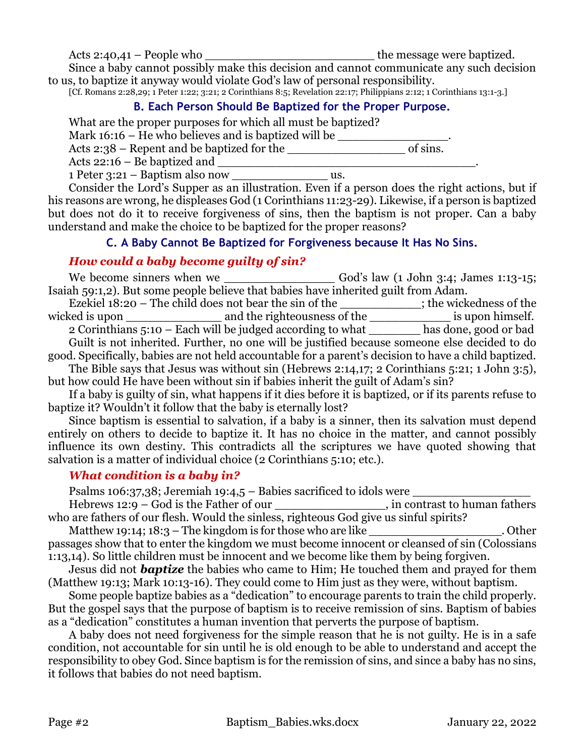Acts 2:40,41 – People who \_\_\_\_\_\_\_\_\_\_\_\_\_\_\_\_\_\_\_\_\_\_\_ the message were baptized.

Since a baby cannot possibly make this decision and cannot communicate any such decision to us, to baptize it anyway would violate God's law of personal responsibility.

[Cf. Romans 2:28,29; 1 Peter 1:22; 3:21; 2 Corinthians 8:5; Revelation 22:17; Philippians 2:12; 1 Corinthians 13:1-3.]

## **B. Each Person Should Be Baptized for the Proper Purpose.**

What are the proper purposes for which all must be baptized?

Mark  $16:16$  – He who believes and is baptized will be  $\_\_$ 

Acts 2:38 – Repent and be baptized for the \_\_\_\_\_\_\_\_\_\_\_\_\_\_\_\_ of sins.

Acts 22:16 – Be baptized and \_\_\_\_\_\_\_\_\_\_\_\_\_\_\_\_\_\_\_\_\_\_\_\_\_\_\_\_\_\_\_\_\_\_\_.

1 Peter 3:21 – Baptism also now us.

Consider the Lord's Supper as an illustration. Even if a person does the right actions, but if his reasons are wrong, he displeases God (1 Corinthians 11:23-29). Likewise, if a person is baptized but does not do it to receive forgiveness of sins, then the baptism is not proper. Can a baby understand and make the choice to be baptized for the proper reasons?

## **C. A Baby Cannot Be Baptized for Forgiveness because It Has No Sins.**

## *How could a baby become guilty of sin?*

We become sinners when we \_\_\_\_\_\_\_\_\_\_\_\_\_\_\_ God's law (1 John 3:4; James 1:13-15; Isaiah 59:1,2). But some people believe that babies have inherited guilt from Adam. Ezekiel 18:20 – The child does not bear the sin of the \_\_\_\_\_\_\_\_\_\_\_; the wickedness of the wicked is upon \_\_\_\_\_\_\_\_\_\_\_\_\_\_\_\_\_\_\_\_ and the righteousness of the \_\_\_\_\_\_\_\_\_\_\_\_\_\_\_\_\_ is upon himself. 2 Corinthians 5:10 – Each will be judged according to what \_\_\_\_\_\_\_ has done, good or bad Guilt is not inherited. Further, no one will be justified because someone else decided to do good. Specifically, babies are not held accountable for a parent's decision to have a child baptized. The Bible says that Jesus was without sin (Hebrews 2:14,17; 2 Corinthians 5:21; 1 John 3:5), but how could He have been without sin if babies inherit the guilt of Adam's sin?

If a baby is guilty of sin, what happens if it dies before it is baptized, or if its parents refuse to baptize it? Wouldn't it follow that the baby is eternally lost?

Since baptism is essential to salvation, if a baby is a sinner, then its salvation must depend entirely on others to decide to baptize it. It has no choice in the matter, and cannot possibly influence its own destiny. This contradicts all the scriptures we have quoted showing that salvation is a matter of individual choice (2 Corinthians 5:10; etc.).

## *What condition is a baby in?*

Psalms 106:37,38; Jeremiah 19:4,5 – Babies sacrificed to idols were  $\qquad \qquad$ 

Hebrews 12:9 – God is the Father of our \_\_\_\_\_\_\_\_\_\_\_\_\_\_\_, in contrast to human fathers who are fathers of our flesh. Would the sinless, righteous God give us sinful spirits?

Matthew 19:14; 18:3 – The kingdom is for those who are like  $\qquad \qquad$  Other passages show that to enter the kingdom we must become innocent or cleansed of sin (Colossians 1:13,14). So little children must be innocent and we become like them by being forgiven.

Jesus did not *baptize* the babies who came to Him; He touched them and prayed for them (Matthew 19:13; Mark 10:13-16). They could come to Him just as they were, without baptism.

Some people baptize babies as a "dedication" to encourage parents to train the child properly. But the gospel says that the purpose of baptism is to receive remission of sins. Baptism of babies as a "dedication" constitutes a human invention that perverts the purpose of baptism.

A baby does not need forgiveness for the simple reason that he is not guilty. He is in a safe condition, not accountable for sin until he is old enough to be able to understand and accept the responsibility to obey God. Since baptism is for the remission of sins, and since a baby has no sins, it follows that babies do not need baptism.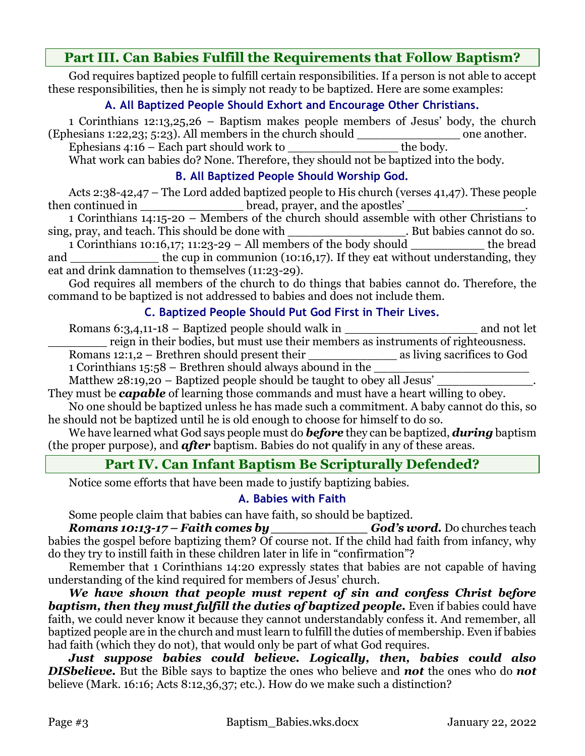# **Part III. Can Babies Fulfill the Requirements that Follow Baptism?**

God requires baptized people to fulfill certain responsibilities. If a person is not able to accept these responsibilities, then he is simply not ready to be baptized. Here are some examples:

## **A. All Baptized People Should Exhort and Encourage Other Christians.**

1 Corinthians 12:13,25,26 – Baptism makes people members of Jesus' body, the church (Ephesians 1:22,23; 5:23). All members in the church should one another.

Ephesians  $4:16$  – Each part should work to the body.

What work can babies do? None. Therefore, they should not be baptized into the body.

## **B. All Baptized People Should Worship God.**

Acts 2:38-42,47 – The Lord added baptized people to His church (verses 41,47). These people then continued in \_\_\_\_\_\_\_\_\_\_\_\_\_\_\_\_\_\_\_\_\_\_\_ bread, prayer, and the apostles' \_\_\_\_\_

1 Corinthians 14:15-20 – Members of the church should assemble with other Christians to sing, pray, and teach. This should be done with . But babies cannot do so.

1 Corinthians 10:16,17; 11:23-29 – All members of the body should  $\qquad$  the bread and \_\_\_\_\_\_\_\_\_\_\_\_\_ the cup in communion (10:16,17). If they eat without understanding, they eat and drink damnation to themselves (11:23-29).

God requires all members of the church to do things that babies cannot do. Therefore, the command to be baptized is not addressed to babies and does not include them.

## **C. Baptized People Should Put God First in Their Lives.**

Romans 6:3,4,11-18 – Baptized people should walk in \_\_\_\_\_\_\_\_\_\_\_\_\_\_\_\_\_\_\_\_\_\_\_\_\_\_\_\_\_ and not let reign in their bodies, but must use their members as instruments of righteousness. Romans 12:1,2 – Brethren should present their as living sacrifices to God

1 Corinthians  $15:58$  – Brethren should always abound in the

Matthew  $28:19,20$  – Baptized people should be taught to obey all Jesus'

They must be *capable* of learning those commands and must have a heart willing to obey.

No one should be baptized unless he has made such a commitment. A baby cannot do this, so he should not be baptized until he is old enough to choose for himself to do so.

We have learned what God says people must do *before* they can be baptized, *during* baptism (the proper purpose), and *after* baptism. Babies do not qualify in any of these areas.

# **Part IV. Can Infant Baptism Be Scripturally Defended?**

Notice some efforts that have been made to justify baptizing babies.

## **A. Babies with Faith**

Some people claim that babies can have faith, so should be baptized.<br>**Romans 10:13-17 – Faith comes by** \_\_\_\_\_\_\_\_\_\_\_\_\_\_\_\_\_\_God's u *Romans 10:13-17 – Faith comes by \_\_\_\_\_\_\_\_\_\_\_\_ God's word.* Do churches teach babies the gospel before baptizing them? Of course not. If the child had faith from infancy, why do they try to instill faith in these children later in life in "confirmation"?

Remember that 1 Corinthians 14:20 expressly states that babies are not capable of having understanding of the kind required for members of Jesus' church.

*We have shown that people must repent of sin and confess Christ before baptism, then they must fulfill the duties of baptized people.* Even if babies could have faith, we could never know it because they cannot understandably confess it. And remember, all baptized people are in the church and must learn to fulfill the duties of membership. Even if babies had faith (which they do not), that would only be part of what God requires.

*Just suppose babies could believe. Logically, then, babies could also DISbelieve.* But the Bible says to baptize the ones who believe and *not* the ones who do *not*  believe (Mark. 16:16; Acts 8:12,36,37; etc.). How do we make such a distinction?